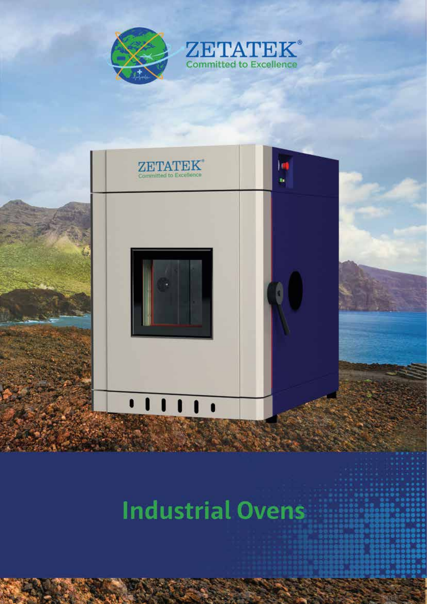



## **Industrial Ovens**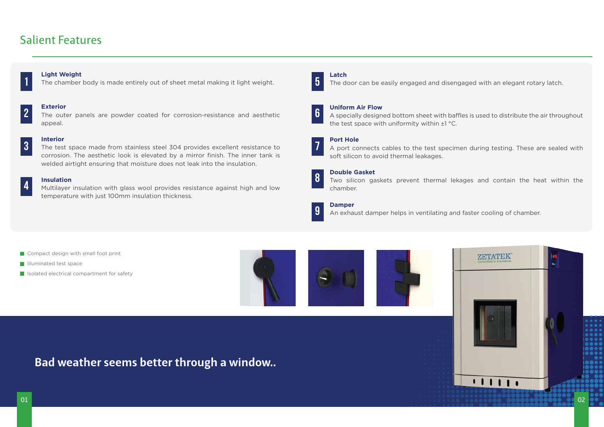### Salient Features



# **2**

**Bad weather seems better through a window..**

#### **Light Weight**

#### **3 Interior**

The chamber body is made entirely out of sheet metal making it light weight.



#### **Exterior**

The outer panels are powder coated for corrosion-resistance and aesthetic appeal.

#### **4 Insulation**

The test space made from stainless steel 304 provides excellent resistance to corrosion. The aesthetic look is elevated by a mirror finish. The inner tank is welded airtight ensuring that moisture does not leak into the insulation.

Multilayer insulation with glass wool provides resistance against high and low temperature with just 100mm insulation thickness.

- Compact design with small foot print
- **Illuminated test space**
- **In Isolated electrical compartment for safety**







**Latch**

The door can be easily engaged and disengaged with an elegant rotary latch.

**Uniform Air Flow** 

A specially designed bottom sheet with baffles is used to distribute the air throughout the test space with uniformity within  $\pm 1$  °C.

#### **Port Hole**

A port connects cables to the test specimen during testing. These are sealed with soft silicon to avoid thermal leakages.

#### **Double Gasket**

Two silicon gaskets prevent thermal lekages and contain the heat within the chamber.

#### **Damper**

An exhaust damper helps in ventilating and faster cooling of chamber.

**5**

**6**

**7**





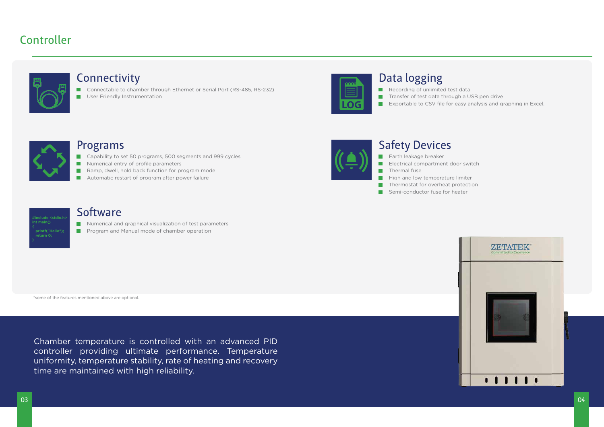### Controller



Exportable to CSV file for easy analysis and graphing in Excel.



Chamber temperature is controlled with an advanced PID controller providing ultimate performance. Temperature uniformity, temperature stability, rate of heating and recovery time are maintained with high reliability.

#### Programs

- Recording of unlimited test data Transfer of test data through a USB pen drive
	-



- Capability to set 50 programs, 500 segments and 999 cycles
- Numerical entry of profile parameters
- Ramp, dwell, hold back function for program mode
- Automatic restart of program after power failure



П User Friendly Instrumentation



### Data logging

#### Connectivity

■ Connectable to chamber through Ethernet or Serial Port (RS-485, RS-232)

### Safety Devices

- **Earth leakage breaker**
- Electrical compartment door switch
- Thermal fuse
- High and low temperature limiter
- Thermostat for overheat protection **T**
- Semi-conductor fuse for heater  $\blacksquare$



#### **Software**

Numerical and graphical visualization of test parameters

**Program and Manual mode of chamber operation** 

\*some of the features mentioned above are optional.

04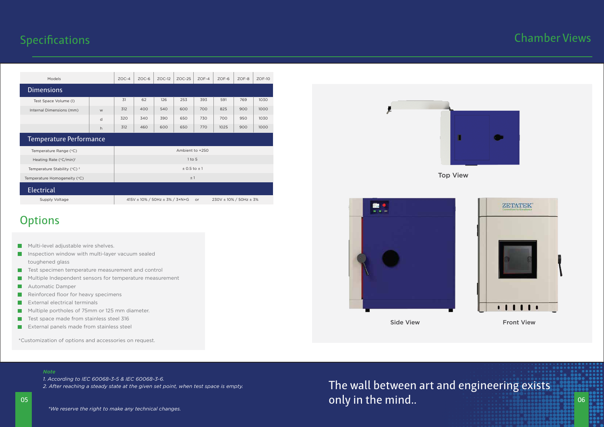#### *Note*

*1. According to IEC 60068-3-5 & IEC 60068-3-6.*

*2. After reaching a steady state at the given set point, when test space is empty.*

05

*\*We reserve the right to make any technical changes.*

Supply Voltage

| <b>Electrical</b>                                  |                      |
|----------------------------------------------------|----------------------|
| Temperature Homogeneity (°C)                       | $\pm$ 1              |
| Temperature Stability ( $^{\circ}$ C) <sup>2</sup> | $\pm$ 0.5 to $\pm$ 1 |
| Heating Rate (°C/min) <sup>1</sup>                 | $1$ to 5             |
| Temperature Range (°C)                             | Ambient to +250      |

415V ± 10% / 50Hz ± 3% / 3+N+G or 230V ± 10% / 50Hz ± 3%

### **Options**

- **Multi-level adjustable wire shelves.**
- Inspection window with multi-layer vacuum sealed **The Co** toughened glass
- $\mathcal{L}^{\mathcal{A}}$ Test specimen temperature measurement and control
- Multiple Independent sensors for temperature measurement  $\mathbb{R}^n$
- Automatic Damper
- Reinforced floor for heavy specimens П
- External electrical terminals  $\mathcal{L}_{\mathcal{A}}$
- Multiple portholes of 75mm or 125 mm diameter. **The Second**
- $\mathcal{L}$ Test space made from stainless steel 316
- **EXTER** External panels made from stainless steel

### **Specifications**

| <b>Models</b>                  |   | $ZOC-4$ | $ZOC-6$ | $ZOC-12$ | $ZOC-25$ | $ZOF-4$ | $ZOF-6$ | $ZOF-8$ | $ZOF-10$ |
|--------------------------------|---|---------|---------|----------|----------|---------|---------|---------|----------|
| <b>Dimensions</b>              |   |         |         |          |          |         |         |         |          |
| Test Space Volume (I)          |   | 31      | 62      | 126      | 253      | 393     | 591     | 769     | 1030     |
| Internal Dimensions (mm)       | W | 312     | 400     | 540      | 600      | 700     | 825     | 900     | 1000     |
|                                | d | 320     | 340     | 390      | 650      | 730     | 700     | 950     | 1030     |
|                                | h | 312     | 460     | 600      | 650      | 770     | 1025    | 900     | 1000     |
| <b>Temperature Performance</b> |   |         |         |          |          |         |         |         |          |

06

\*Customization of options and accessories on request.



only in the mind..

### Chamber Views





Side View **Front View** 

Top View